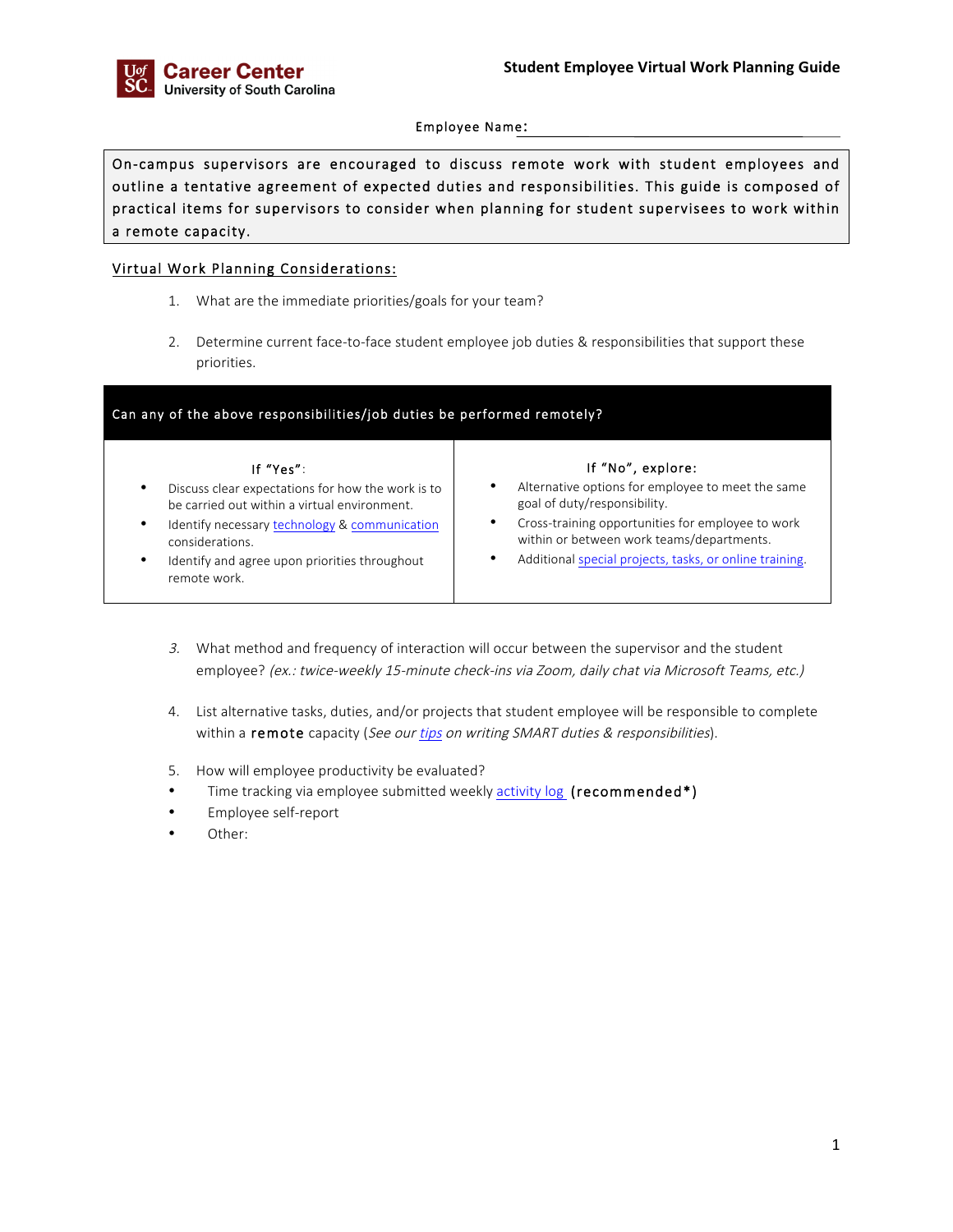Employee Name:

On-campus supervisors are encouraged to discuss remote work with student employees and outline a tentative agreement of expected duties and responsibilities. This guide is composed of practical items for supervisors to consider when planning for student supervisees to work within a remote capacity.

## Virtual Work Planning Considerations:

- 1. What are the immediate priorities/goals for your team?
- 2. Determine current face-to-face student employee job duties & responsibilities that support these priorities.

| Can any of the above responsibilities/job duties be performed remotely?                                             |                                                                                                             |
|---------------------------------------------------------------------------------------------------------------------|-------------------------------------------------------------------------------------------------------------|
| If "Yes":<br>Discuss clear expectations for how the work is to<br>٠<br>be carried out within a virtual environment. | If "No", explore:<br>Alternative options for employee to meet the same<br>٠<br>goal of duty/responsibility. |
| Identify necessary technology & communication<br>٠<br>considerations.                                               | Cross-training opportunities for employee to work<br>within or between work teams/departments.              |
| Identify and agree upon priorities throughout<br>٠<br>remote work.                                                  | Additional special projects, tasks, or online training.<br>٠                                                |

- 3. What method and frequency of interaction will occur between the supervisor and the student employee? (ex.: twice-weekly 15-minute check-ins via Zoom, daily chat via Microsoft Teams, etc.)
- 4. List alternative tasks, duties, and/or projects that student employee will be responsible to complete within a remote capacity (See our tips on writing SMART duties & responsibilities).
- 5. How will employee productivity be evaluated?
- Time tracking via employee submitted weekly **activity log** (recommended\*)
- Employee self-report
- Other: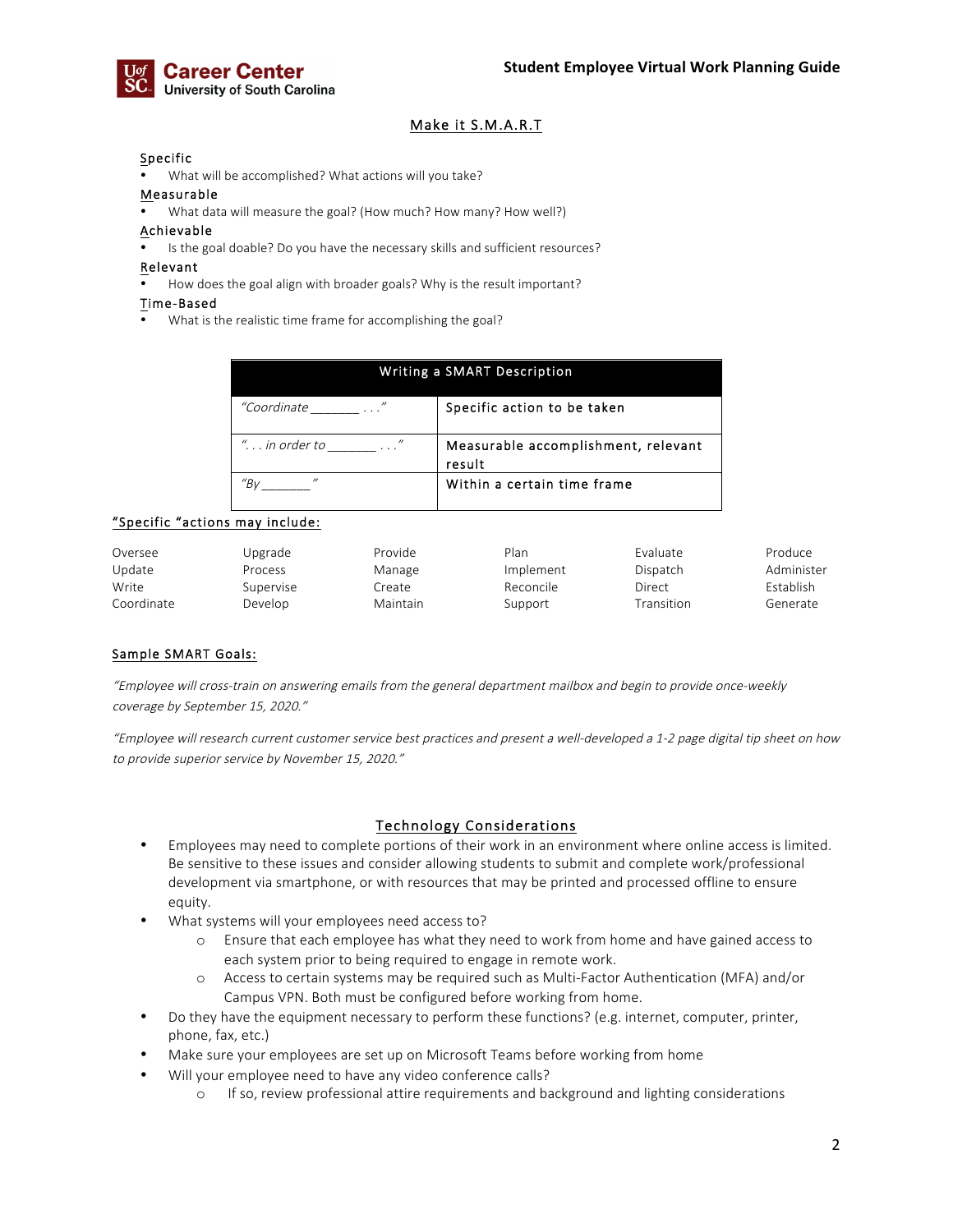

## Make it S.M.A.R.T

#### **Specific**

• What will be accomplished? What actions will you take?

#### Measurable

• What data will measure the goal? (How much? How many? How well?)

#### Achievable

Is the goal doable? Do you have the necessary skills and sufficient resources?

#### Relevant

• How does the goal align with broader goals? Why is the result important?

#### Time-Based

• What is the realistic time frame for accomplishing the goal?

| Writing a SMART Description     |                                               |  |  |
|---------------------------------|-----------------------------------------------|--|--|
| "Coordinate<br>and the state of | Specific action to be taken                   |  |  |
| " in order to $\ldots$ "        | Measurable accomplishment, relevant<br>result |  |  |
| $^{\prime\prime}$               | Within a certain time frame                   |  |  |

## "Specific "actions may include:

| Oversee    | Upgrade   | Provide  | Plan      | Evaluate   | Produce          |
|------------|-----------|----------|-----------|------------|------------------|
| Update     | Process   | Manage   | Implement | Dispatch   | Administer       |
| Write      | Supervise | Create   | Reconcile | Direct     | <b>Fstablish</b> |
| Coordinate | Develop   | Maintain | Support   | Transition | Generate         |

## Sample SMART Goals:

"Employee will cross-train on answering emails from the general department mailbox and begin to provide once-weekly coverage by September 15, 2020."

"Employee will research current customer service best practices and present a well-developed a 1-2 page digital tip sheet on how to provide superior service by November 15, 2020."

## Technology Considerations

- Employees may need to complete portions of their work in an environment where online access is limited. Be sensitive to these issues and consider allowing students to submit and complete work/professional development via smartphone, or with resources that may be printed and processed offline to ensure equity.
- What systems will your employees need access to?
	- o Ensure that each employee has what they need to work from home and have gained access to each system prior to being required to engage in remote work.
	- o Access to certain systems may be required such as Multi-Factor Authentication (MFA) and/or Campus VPN. Both must be configured before working from home.
- Do they have the equipment necessary to perform these functions? (e.g. internet, computer, printer, phone, fax, etc.)
- Make sure your employees are set up on Microsoft Teams before working from home
- Will your employee need to have any video conference calls?
	- o If so, review professional attire requirements and background and lighting considerations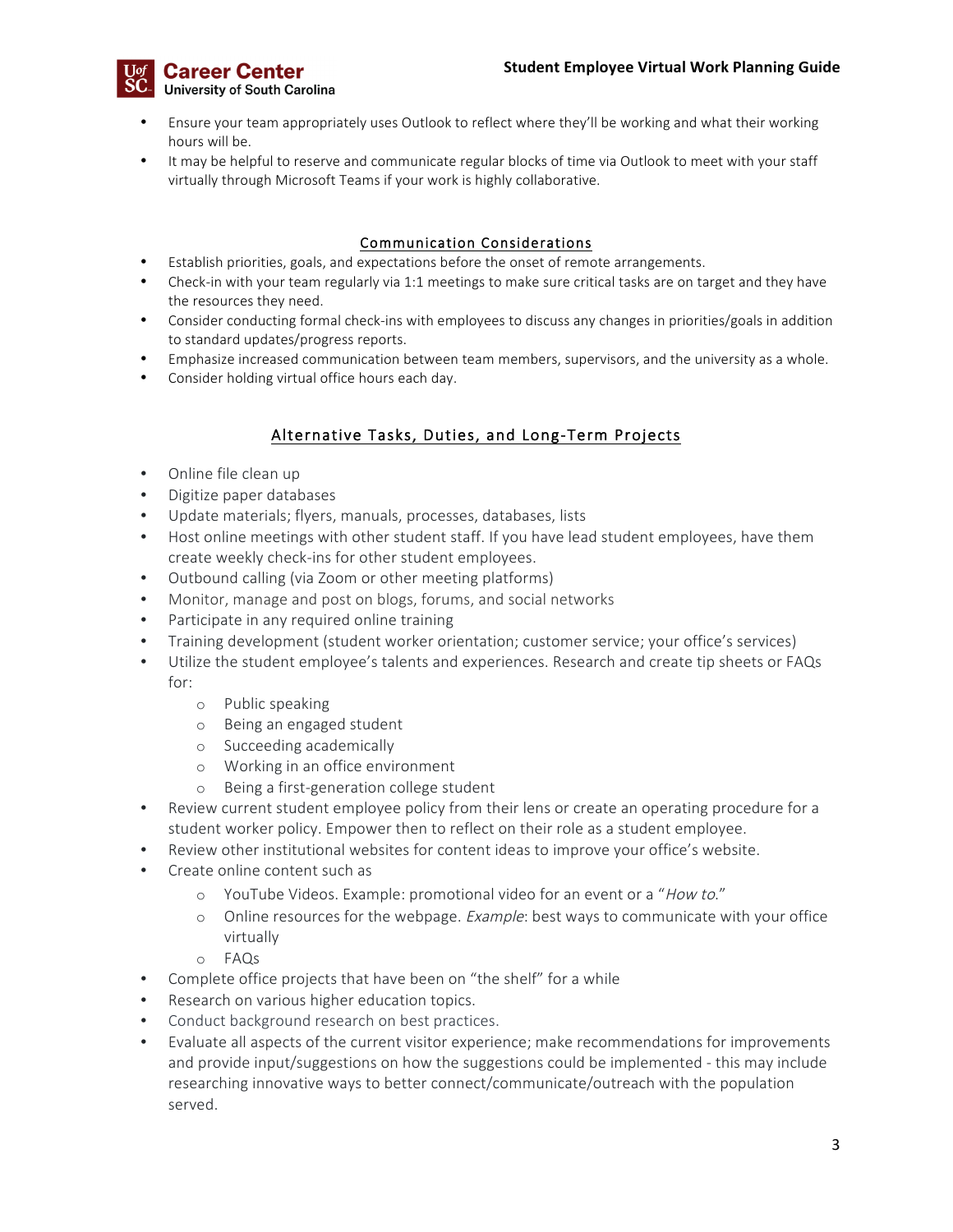

- Ensure your team appropriately uses Outlook to reflect where they'll be working and what their working hours will be.
- It may be helpful to reserve and communicate regular blocks of time via Outlook to meet with your staff virtually through Microsoft Teams if your work is highly collaborative.

## Communication Considerations

- Establish priorities, goals, and expectations before the onset of remote arrangements.
- Check-in with your team regularly via 1:1 meetings to make sure critical tasks are on target and they have the resources they need.
- Consider conducting formal check-ins with employees to discuss any changes in priorities/goals in addition to standard updates/progress reports.
- Emphasize increased communication between team members, supervisors, and the university as a whole.
- Consider holding virtual office hours each day.

# Alternative Tasks, Duties, and Long-Term Projects

- Online file clean up
- Digitize paper databases
- Update materials; flyers, manuals, processes, databases, lists
- Host online meetings with other student staff. If you have lead student employees, have them create weekly check-ins for other student employees.
- Outbound calling (via Zoom or other meeting platforms)
- Monitor, manage and post on blogs, forums, and social networks
- Participate in any required online training
- Training development (student worker orientation; customer service; your office's services)
- Utilize the student employee's talents and experiences. Research and create tip sheets or FAQs for:
	- o Public speaking
	- o Being an engaged student
	- o Succeeding academically
	- o Working in an office environment
	- o Being a first-generation college student
- Review current student employee policy from their lens or create an operating procedure for a student worker policy. Empower then to reflect on their role as a student employee.
- Review other institutional websites for content ideas to improve your office's website.
- Create online content such as
	- o YouTube Videos. Example: promotional video for an event or a "How to."
	- $\circ$  Online resources for the webpage. *Example*: best ways to communicate with your office virtually
	- o FAQs
- Complete office projects that have been on "the shelf" for a while
- Research on various higher education topics.
- Conduct background research on best practices.
- Evaluate all aspects of the current visitor experience; make recommendations for improvements and provide input/suggestions on how the suggestions could be implemented - this may include researching innovative ways to better connect/communicate/outreach with the population served.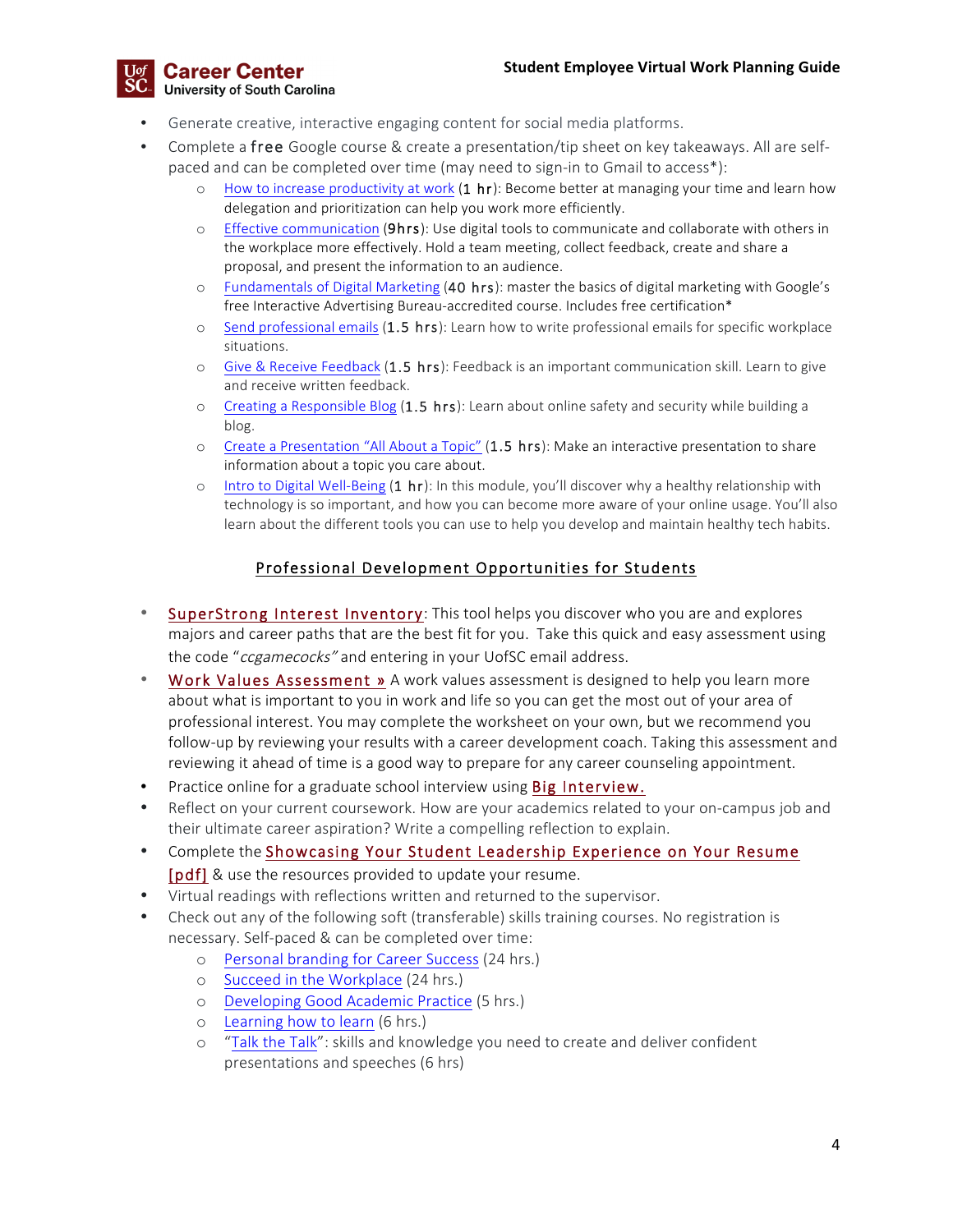

- Generate creative, interactive engaging content for social media platforms.
- Complete a free Google course & create a presentation/tip sheet on key takeaways. All are selfpaced and can be completed over time (may need to sign-in to Gmail to access\*):
	- o How to increase productivity at work  $(1 hr)$ : Become better at managing your time and learn how delegation and prioritization can help you work more efficiently.
	- o Effective communication (9hrs): Use digital tools to communicate and collaborate with others in the workplace more effectively. Hold a team meeting, collect feedback, create and share a proposal, and present the information to an audience.
	- o Fundamentals of Digital Marketing (40 hrs): master the basics of digital marketing with Google's free Interactive Advertising Bureau-accredited course. Includes free certification\*
	- o Send professional emails (1.5 hrs): Learn how to write professional emails for specific workplace situations.
	- o Give & Receive Feedback (1.5 hrs): Feedback is an important communication skill. Learn to give and receive written feedback.
	- $\circ$  Creating a Responsible Blog (1.5 hrs): Learn about online safety and security while building a blog.
	- o Create a Presentation "All About a Topic" (1.5 hrs): Make an interactive presentation to share information about a topic you care about.
	- o Intro to Digital Well-Being (1 hr): In this module, you'll discover why a healthy relationship with technology is so important, and how you can become more aware of your online usage. You'll also learn about the different tools you can use to help you develop and maintain healthy tech habits.

# Professional Development Opportunities for Students

- SuperStrong Interest Inventory: This tool helps you discover who you are and explores majors and career paths that are the best fit for you. Take this quick and easy assessment using the code "ccgamecocks" and entering in your UofSC email address.
- Work Values Assessment » A work values assessment is designed to help you learn more about what is important to you in work and life so you can get the most out of your area of professional interest. You may complete the worksheet on your own, but we recommend you follow-up by reviewing your results with a career development coach. Taking this assessment and reviewing it ahead of time is a good way to prepare for any career counseling appointment.
- Practice online for a graduate school interview using Big Interview.
- Reflect on your current coursework. How are your academics related to your on-campus job and their ultimate career aspiration? Write a compelling reflection to explain.
- Complete the Showcasing Your Student Leadership Experience on Your Resume [pdf] & use the resources provided to update your resume.
- Virtual readings with reflections written and returned to the supervisor.
- Check out any of the following soft (transferable) skills training courses. No registration is necessary. Self-paced & can be completed over time:
	- o Personal branding for Career Success (24 hrs.)
	- o Succeed in the Workplace (24 hrs.)
	- o Developing Good Academic Practice (5 hrs.)
	- o Learning how to learn (6 hrs.)
	- o "Talk the Talk": skills and knowledge you need to create and deliver confident presentations and speeches (6 hrs)